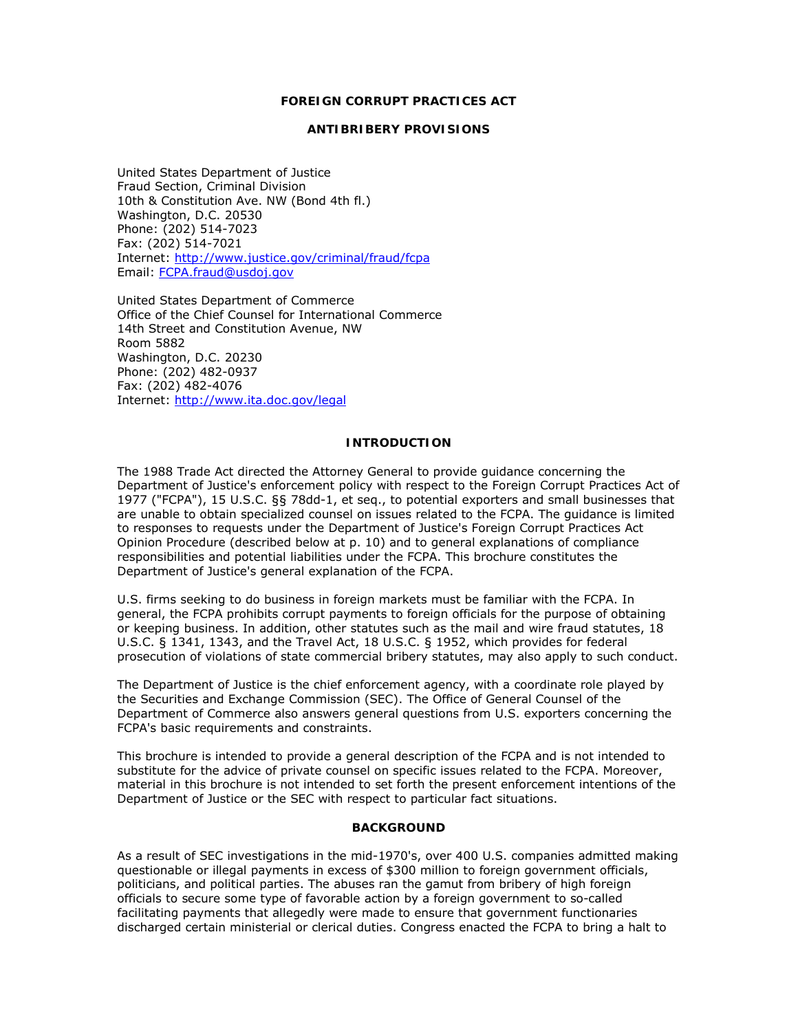### **FOREIGN CORRUPT PRACTICES ACT**

## **ANTIBRIBERY PROVISIONS**

United States Department of Justice Fraud Section, Criminal Division 10th & Constitution Ave. NW (Bond 4th fl.) Washington, D.C. 20530 Phone: (202) 514-7023 Fax: (202) 514-7021 Internet:<http://www.justice.gov/criminal/fraud/fcpa> Email: [FCPA.fraud@usdoj.gov](mailto:FCPA.fraud@usdoj.gov)

United States Department of Commerce Office of the Chief Counsel for International Commerce 14th Street and Constitution Avenue, NW Room 5882 Washington, D.C. 20230 Phone: (202) 482-0937 Fax: (202) 482-4076 Internet:<http://www.ita.doc.gov/legal>

### **INTRODUCTION**

The 1988 Trade Act directed the Attorney General to provide guidance concerning the Department of Justice's enforcement policy with respect to the Foreign Corrupt Practices Act of 1977 ("FCPA"), 15 U.S.C. §§ 78dd-1, et seq., to potential exporters and small businesses that are unable to obtain specialized counsel on issues related to the FCPA. The guidance is limited to responses to requests under the Department of Justice's Foreign Corrupt Practices Act Opinion Procedure (described below at p. 10) and to general explanations of compliance responsibilities and potential liabilities under the FCPA. This brochure constitutes the Department of Justice's general explanation of the FCPA.

U.S. firms seeking to do business in foreign markets must be familiar with the FCPA. In general, the FCPA prohibits corrupt payments to foreign officials for the purpose of obtaining or keeping business. In addition, other statutes such as the mail and wire fraud statutes, 18 U.S.C. § 1341, 1343, and the Travel Act, 18 U.S.C. § 1952, which provides for federal prosecution of violations of state commercial bribery statutes, may also apply to such conduct.

The Department of Justice is the chief enforcement agency, with a coordinate role played by the Securities and Exchange Commission (SEC). The Office of General Counsel of the Department of Commerce also answers general questions from U.S. exporters concerning the FCPA's basic requirements and constraints.

This brochure is intended to provide a general description of the FCPA and is not intended to substitute for the advice of private counsel on specific issues related to the FCPA. Moreover, material in this brochure is not intended to set forth the present enforcement intentions of the Department of Justice or the SEC with respect to particular fact situations.

#### **BACKGROUND**

As a result of SEC investigations in the mid-1970's, over 400 U.S. companies admitted making questionable or illegal payments in excess of \$300 million to foreign government officials, politicians, and political parties. The abuses ran the gamut from bribery of high foreign officials to secure some type of favorable action by a foreign government to so-called facilitating payments that allegedly were made to ensure that government functionaries discharged certain ministerial or clerical duties. Congress enacted the FCPA to bring a halt to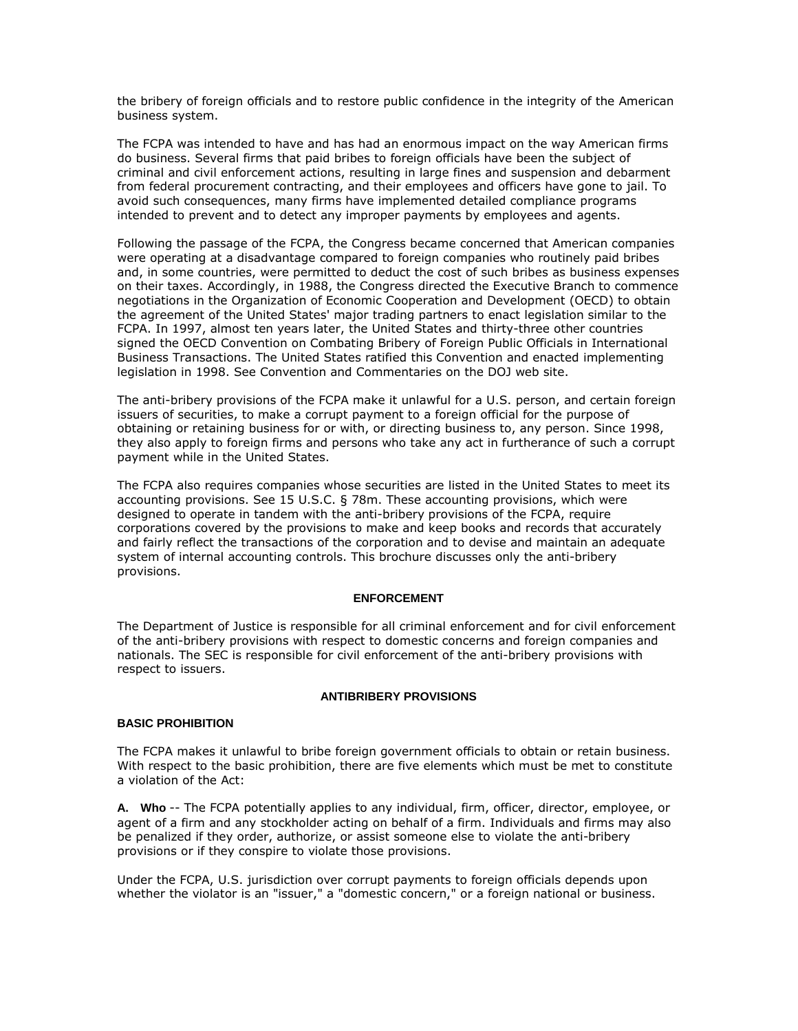the bribery of foreign officials and to restore public confidence in the integrity of the American business system.

The FCPA was intended to have and has had an enormous impact on the way American firms do business. Several firms that paid bribes to foreign officials have been the subject of criminal and civil enforcement actions, resulting in large fines and suspension and debarment from federal procurement contracting, and their employees and officers have gone to jail. To avoid such consequences, many firms have implemented detailed compliance programs intended to prevent and to detect any improper payments by employees and agents.

Following the passage of the FCPA, the Congress became concerned that American companies were operating at a disadvantage compared to foreign companies who routinely paid bribes and, in some countries, were permitted to deduct the cost of such bribes as business expenses on their taxes. Accordingly, in 1988, the Congress directed the Executive Branch to commence negotiations in the Organization of Economic Cooperation and Development (OECD) to obtain the agreement of the United States' major trading partners to enact legislation similar to the FCPA. In 1997, almost ten years later, the United States and thirty-three other countries signed the OECD Convention on Combating Bribery of Foreign Public Officials in International Business Transactions. The United States ratified this Convention and enacted implementing legislation in 1998. See Convention and Commentaries on the DOJ web site.

The anti-bribery provisions of the FCPA make it unlawful for a U.S. person, and certain foreign issuers of securities, to make a corrupt payment to a foreign official for the purpose of obtaining or retaining business for or with, or directing business to, any person. Since 1998, they also apply to foreign firms and persons who take any act in furtherance of such a corrupt payment while in the United States.

The FCPA also requires companies whose securities are listed in the United States to meet its accounting provisions. See 15 U.S.C. § 78m. These accounting provisions, which were designed to operate in tandem with the anti-bribery provisions of the FCPA, require corporations covered by the provisions to make and keep books and records that accurately and fairly reflect the transactions of the corporation and to devise and maintain an adequate system of internal accounting controls. This brochure discusses only the anti-bribery provisions.

### **ENFORCEMENT**

The Department of Justice is responsible for all criminal enforcement and for civil enforcement of the anti-bribery provisions with respect to domestic concerns and foreign companies and nationals. The SEC is responsible for civil enforcement of the anti-bribery provisions with respect to issuers.

### **ANTIBRIBERY PROVISIONS**

# **BASIC PROHIBITION**

The FCPA makes it unlawful to bribe foreign government officials to obtain or retain business. With respect to the basic prohibition, there are five elements which must be met to constitute a violation of the Act:

**A. Who** -- The FCPA potentially applies to any individual, firm, officer, director, employee, or agent of a firm and any stockholder acting on behalf of a firm. Individuals and firms may also be penalized if they order, authorize, or assist someone else to violate the anti-bribery provisions or if they conspire to violate those provisions.

Under the FCPA, U.S. jurisdiction over corrupt payments to foreign officials depends upon whether the violator is an "issuer," a "domestic concern," or a foreign national or business.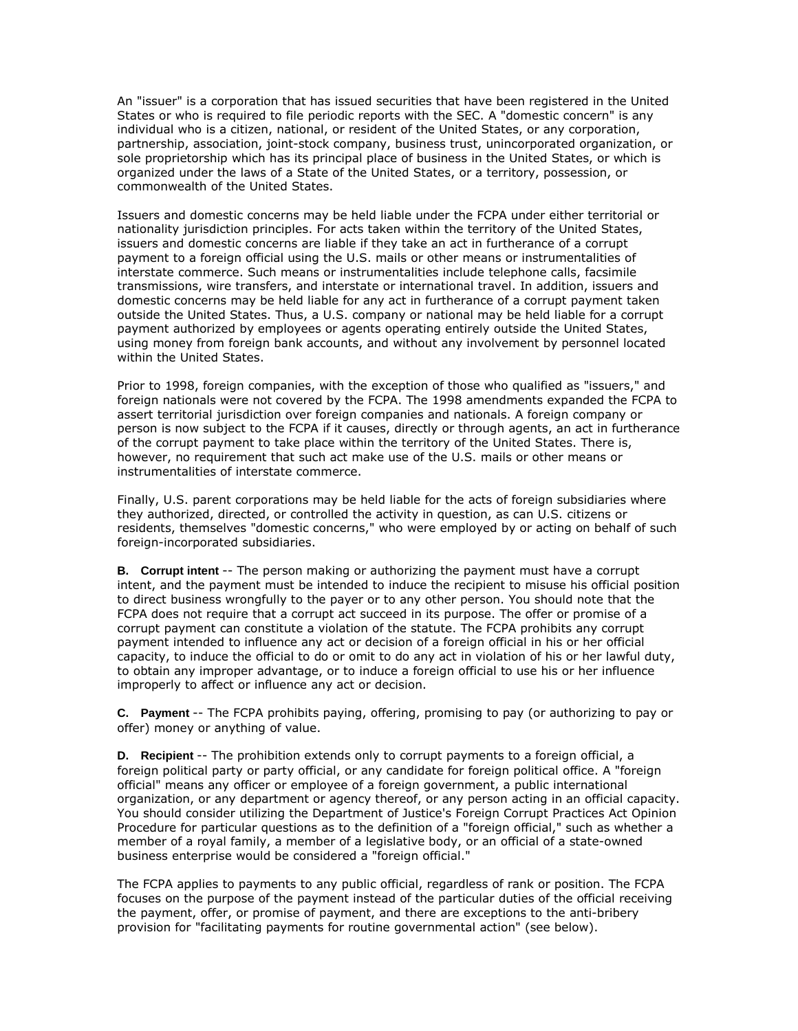An "issuer" is a corporation that has issued securities that have been registered in the United States or who is required to file periodic reports with the SEC. A "domestic concern" is any individual who is a citizen, national, or resident of the United States, or any corporation, partnership, association, joint-stock company, business trust, unincorporated organization, or sole proprietorship which has its principal place of business in the United States, or which is organized under the laws of a State of the United States, or a territory, possession, or commonwealth of the United States.

Issuers and domestic concerns may be held liable under the FCPA under either territorial or nationality jurisdiction principles. For acts taken within the territory of the United States, issuers and domestic concerns are liable if they take an act in furtherance of a corrupt payment to a foreign official using the U.S. mails or other means or instrumentalities of interstate commerce. Such means or instrumentalities include telephone calls, facsimile transmissions, wire transfers, and interstate or international travel. In addition, issuers and domestic concerns may be held liable for any act in furtherance of a corrupt payment taken outside the United States. Thus, a U.S. company or national may be held liable for a corrupt payment authorized by employees or agents operating entirely outside the United States, using money from foreign bank accounts, and without any involvement by personnel located within the United States.

Prior to 1998, foreign companies, with the exception of those who qualified as "issuers," and foreign nationals were not covered by the FCPA. The 1998 amendments expanded the FCPA to assert territorial jurisdiction over foreign companies and nationals. A foreign company or person is now subject to the FCPA if it causes, directly or through agents, an act in furtherance of the corrupt payment to take place within the territory of the United States. There is, however, no requirement that such act make use of the U.S. mails or other means or instrumentalities of interstate commerce.

Finally, U.S. parent corporations may be held liable for the acts of foreign subsidiaries where they authorized, directed, or controlled the activity in question, as can U.S. citizens or residents, themselves "domestic concerns," who were employed by or acting on behalf of such foreign-incorporated subsidiaries.

**B. Corrupt intent** -- The person making or authorizing the payment must have a corrupt intent, and the payment must be intended to induce the recipient to misuse his official position to direct business wrongfully to the payer or to any other person. You should note that the FCPA does not require that a corrupt act succeed in its purpose. The offer or promise of a corrupt payment can constitute a violation of the statute. The FCPA prohibits any corrupt payment intended to influence any act or decision of a foreign official in his or her official capacity, to induce the official to do or omit to do any act in violation of his or her lawful duty, to obtain any improper advantage, or to induce a foreign official to use his or her influence improperly to affect or influence any act or decision.

**C. Payment** -- The FCPA prohibits paying, offering, promising to pay (or authorizing to pay or offer) money or anything of value.

**D. Recipient** -- The prohibition extends only to corrupt payments to a foreign official, a foreign political party or party official, or any candidate for foreign political office. A "foreign official" means any officer or employee of a foreign government, a public international organization, or any department or agency thereof, or any person acting in an official capacity. You should consider utilizing the Department of Justice's Foreign Corrupt Practices Act Opinion Procedure for particular questions as to the definition of a "foreign official," such as whether a member of a royal family, a member of a legislative body, or an official of a state-owned business enterprise would be considered a "foreign official."

The FCPA applies to payments to any public official, regardless of rank or position. The FCPA focuses on the purpose of the payment instead of the particular duties of the official receiving the payment, offer, or promise of payment, and there are exceptions to the anti-bribery provision for "facilitating payments for routine governmental action" (see below).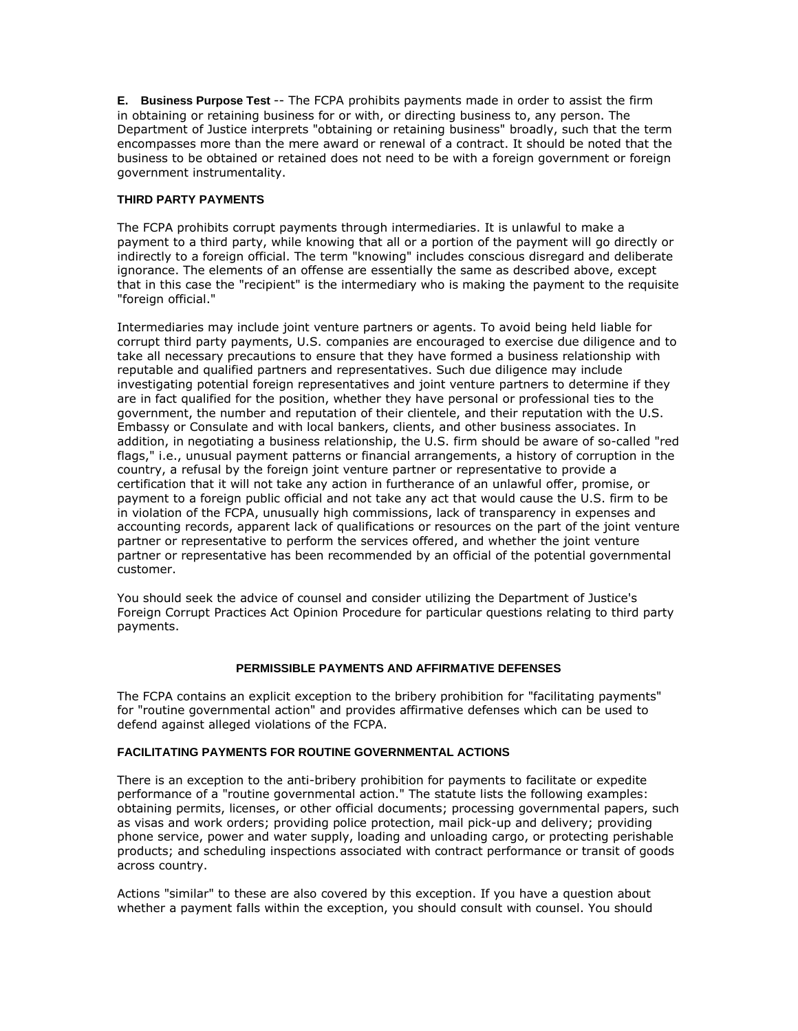**E. Business Purpose Test** -- The FCPA prohibits payments made in order to assist the firm in obtaining or retaining business for or with, or directing business to, any person. The Department of Justice interprets "obtaining or retaining business" broadly, such that the term encompasses more than the mere award or renewal of a contract. It should be noted that the business to be obtained or retained does not need to be with a foreign government or foreign government instrumentality.

# **THIRD PARTY PAYMENTS**

The FCPA prohibits corrupt payments through intermediaries. It is unlawful to make a payment to a third party, while knowing that all or a portion of the payment will go directly or indirectly to a foreign official. The term "knowing" includes conscious disregard and deliberate ignorance. The elements of an offense are essentially the same as described above, except that in this case the "recipient" is the intermediary who is making the payment to the requisite "foreign official."

Intermediaries may include joint venture partners or agents. To avoid being held liable for corrupt third party payments, U.S. companies are encouraged to exercise due diligence and to take all necessary precautions to ensure that they have formed a business relationship with reputable and qualified partners and representatives. Such due diligence may include investigating potential foreign representatives and joint venture partners to determine if they are in fact qualified for the position, whether they have personal or professional ties to the government, the number and reputation of their clientele, and their reputation with the U.S. Embassy or Consulate and with local bankers, clients, and other business associates. In addition, in negotiating a business relationship, the U.S. firm should be aware of so-called "red flags," i.e., unusual payment patterns or financial arrangements, a history of corruption in the country, a refusal by the foreign joint venture partner or representative to provide a certification that it will not take any action in furtherance of an unlawful offer, promise, or payment to a foreign public official and not take any act that would cause the U.S. firm to be in violation of the FCPA, unusually high commissions, lack of transparency in expenses and accounting records, apparent lack of qualifications or resources on the part of the joint venture partner or representative to perform the services offered, and whether the joint venture partner or representative has been recommended by an official of the potential governmental customer.

You should seek the advice of counsel and consider utilizing the Department of Justice's Foreign Corrupt Practices Act Opinion Procedure for particular questions relating to third party payments.

### **PERMISSIBLE PAYMENTS AND AFFIRMATIVE DEFENSES**

The FCPA contains an explicit exception to the bribery prohibition for "facilitating payments" for "routine governmental action" and provides affirmative defenses which can be used to defend against alleged violations of the FCPA.

# **FACILITATING PAYMENTS FOR ROUTINE GOVERNMENTAL ACTIONS**

There is an exception to the anti-bribery prohibition for payments to facilitate or expedite performance of a "routine governmental action." The statute lists the following examples: obtaining permits, licenses, or other official documents; processing governmental papers, such as visas and work orders; providing police protection, mail pick-up and delivery; providing phone service, power and water supply, loading and unloading cargo, or protecting perishable products; and scheduling inspections associated with contract performance or transit of goods across country.

Actions "similar" to these are also covered by this exception. If you have a question about whether a payment falls within the exception, you should consult with counsel. You should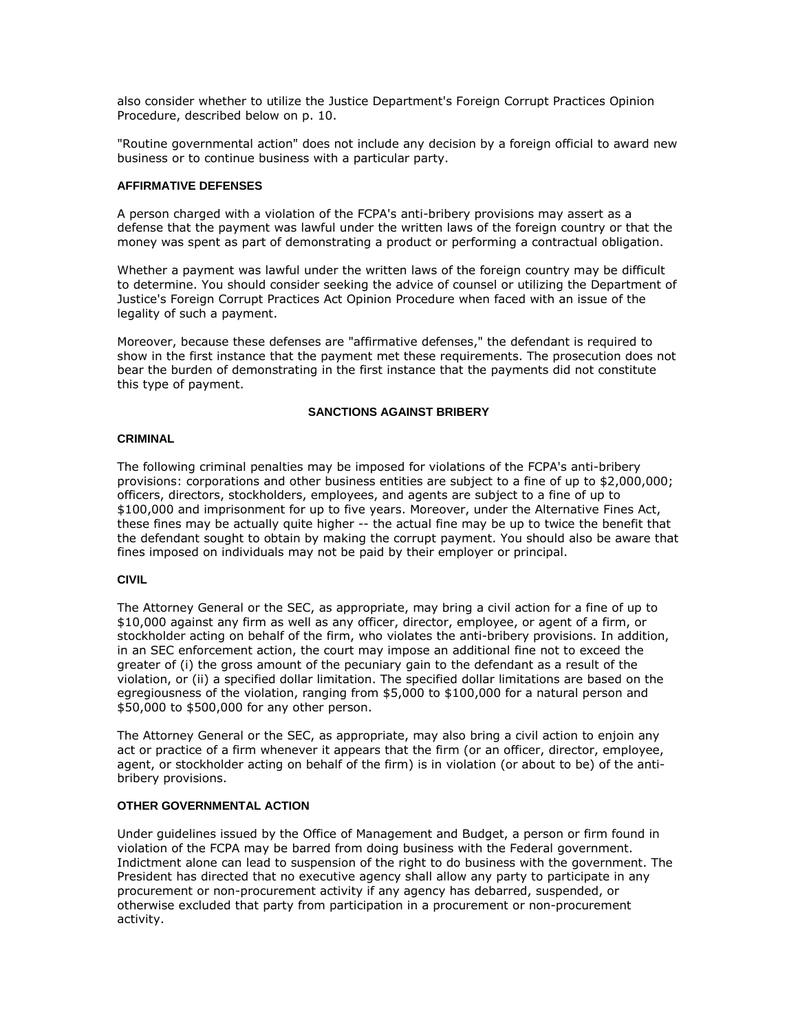also consider whether to utilize the Justice Department's Foreign Corrupt Practices Opinion Procedure, described below on p. 10.

"Routine governmental action" does not include any decision by a foreign official to award new business or to continue business with a particular party.

### **AFFIRMATIVE DEFENSES**

A person charged with a violation of the FCPA's anti-bribery provisions may assert as a defense that the payment was lawful under the written laws of the foreign country or that the money was spent as part of demonstrating a product or performing a contractual obligation.

Whether a payment was lawful under the written laws of the foreign country may be difficult to determine. You should consider seeking the advice of counsel or utilizing the Department of Justice's Foreign Corrupt Practices Act Opinion Procedure when faced with an issue of the legality of such a payment.

Moreover, because these defenses are "affirmative defenses," the defendant is required to show in the first instance that the payment met these requirements. The prosecution does not bear the burden of demonstrating in the first instance that the payments did not constitute this type of payment.

## **SANCTIONS AGAINST BRIBERY**

### **CRIMINAL**

The following criminal penalties may be imposed for violations of the FCPA's anti-bribery provisions: corporations and other business entities are subject to a fine of up to \$2,000,000; officers, directors, stockholders, employees, and agents are subject to a fine of up to \$100,000 and imprisonment for up to five years. Moreover, under the Alternative Fines Act, these fines may be actually quite higher -- the actual fine may be up to twice the benefit that the defendant sought to obtain by making the corrupt payment. You should also be aware that fines imposed on individuals may not be paid by their employer or principal.

## **CIVIL**

The Attorney General or the SEC, as appropriate, may bring a civil action for a fine of up to \$10,000 against any firm as well as any officer, director, employee, or agent of a firm, or stockholder acting on behalf of the firm, who violates the anti-bribery provisions. In addition, in an SEC enforcement action, the court may impose an additional fine not to exceed the greater of (i) the gross amount of the pecuniary gain to the defendant as a result of the violation, or (ii) a specified dollar limitation. The specified dollar limitations are based on the egregiousness of the violation, ranging from \$5,000 to \$100,000 for a natural person and \$50,000 to \$500,000 for any other person.

The Attorney General or the SEC, as appropriate, may also bring a civil action to enjoin any act or practice of a firm whenever it appears that the firm (or an officer, director, employee, agent, or stockholder acting on behalf of the firm) is in violation (or about to be) of the antibribery provisions.

## **OTHER GOVERNMENTAL ACTION**

Under guidelines issued by the Office of Management and Budget, a person or firm found in violation of the FCPA may be barred from doing business with the Federal government. Indictment alone can lead to suspension of the right to do business with the government. The President has directed that no executive agency shall allow any party to participate in any procurement or non-procurement activity if any agency has debarred, suspended, or otherwise excluded that party from participation in a procurement or non-procurement activity.